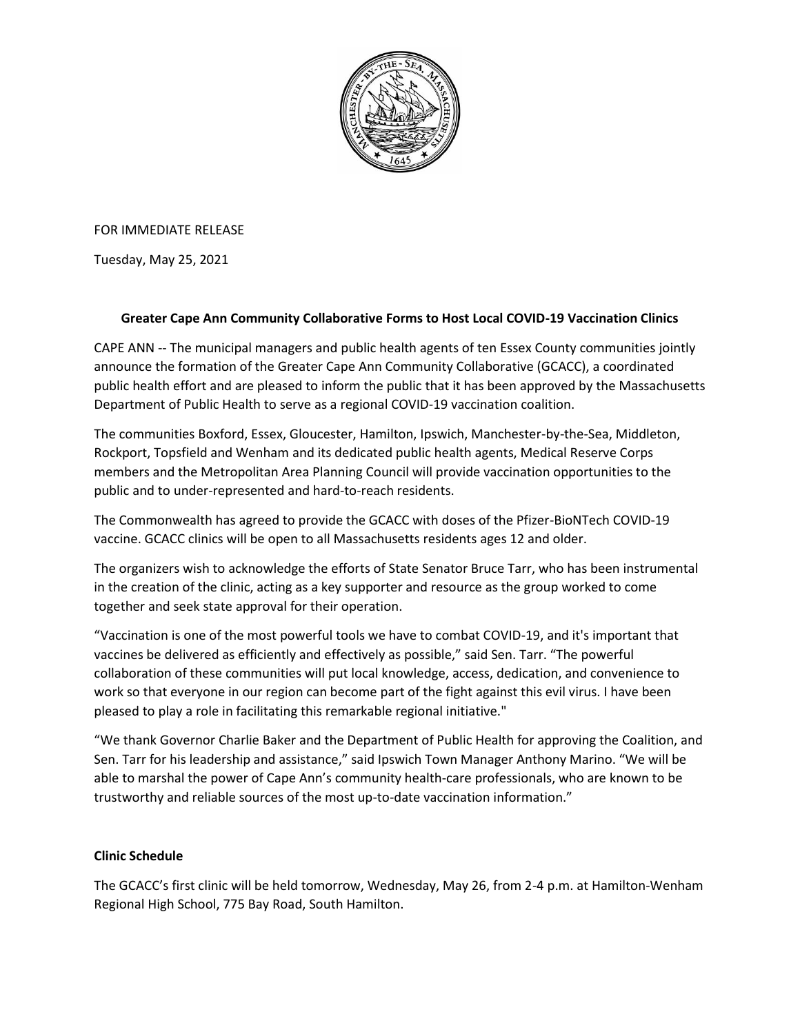

FOR IMMEDIATE RELEASE

Tuesday, May 25, 2021

## **Greater Cape Ann Community Collaborative Forms to Host Local COVID-19 Vaccination Clinics**

CAPE ANN -- The municipal managers and public health agents of ten Essex County communities jointly announce the formation of the Greater Cape Ann Community Collaborative (GCACC), a coordinated public health effort and are pleased to inform the public that it has been approved by the Massachusetts Department of Public Health to serve as a regional COVID-19 vaccination coalition.

The communities Boxford, Essex, Gloucester, Hamilton, Ipswich, Manchester-by-the-Sea, Middleton, Rockport, Topsfield and Wenham and its dedicated public health agents, Medical Reserve Corps members and the Metropolitan Area Planning Council will provide vaccination opportunities to the public and to under-represented and hard-to-reach residents.

The Commonwealth has agreed to provide the GCACC with doses of the Pfizer-BioNTech COVID-19 vaccine. GCACC clinics will be open to all Massachusetts residents ages 12 and older.

The organizers wish to acknowledge the efforts of State Senator Bruce Tarr, who has been instrumental in the creation of the clinic, acting as a key supporter and resource as the group worked to come together and seek state approval for their operation.

"Vaccination is one of the most powerful tools we have to combat COVID-19, and it's important that vaccines be delivered as efficiently and effectively as possible," said Sen. Tarr. "The powerful collaboration of these communities will put local knowledge, access, dedication, and convenience to work so that everyone in our region can become part of the fight against this evil virus. I have been pleased to play a role in facilitating this remarkable regional initiative."

"We thank Governor Charlie Baker and the Department of Public Health for approving the Coalition, and Sen. Tarr for his leadership and assistance," said Ipswich Town Manager Anthony Marino. "We will be able to marshal the power of Cape Ann's community health-care professionals, who are known to be trustworthy and reliable sources of the most up-to-date vaccination information."

## **Clinic Schedule**

The GCACC's first clinic will be held tomorrow, Wednesday, May 26, from 2-4 p.m. at Hamilton-Wenham Regional High School, 775 Bay Road, South Hamilton.